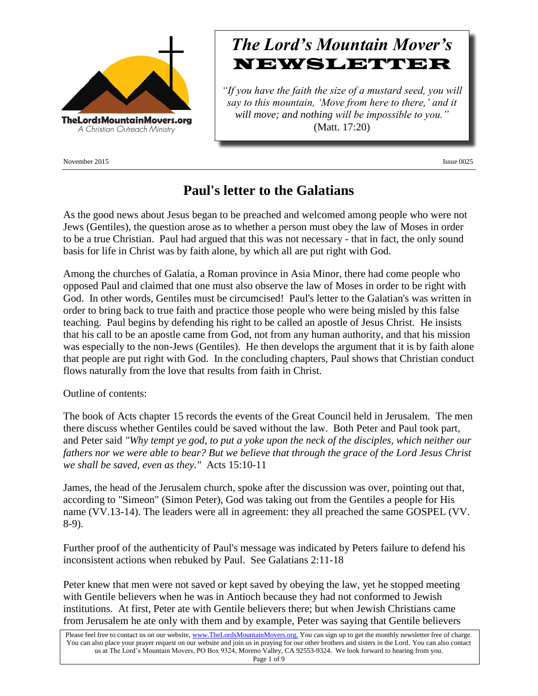

November 2015 Issue 0025

# *The Lord's Mountain Mover's* NEWSLETTER

*"If you have the faith the size of a mustard seed, you will say to this mountain, 'Move from here to there,' and it will move; and nothing will be impossible to you."* (Matt. 17:20)

## **Paul's letter to the Galatians**

As the good news about Jesus began to be preached and welcomed among people who were not Jews (Gentiles), the question arose as to whether a person must obey the law of Moses in order to be a true Christian. Paul had argued that this was not necessary - that in fact, the only sound basis for life in Christ was by faith alone, by which all are put right with God.

Among the churches of Galatia, a Roman province in Asia Minor, there had come people who opposed Paul and claimed that one must also observe the law of Moses in order to be right with God. In other words, Gentiles must be circumcised! Paul's letter to the Galatian's was written in order to bring back to true faith and practice those people who were being misled by this false teaching. Paul begins by defending his right to be called an apostle of Jesus Christ. He insists that his call to be an apostle came from God, not from any human authority, and that his mission was especially to the non-Jews (Gentiles). He then develops the argument that it is by faith alone that people are put right with God. In the concluding chapters, Paul shows that Christian conduct flows naturally from the love that results from faith in Christ.

Outline of contents:

The book of Acts chapter 15 records the events of the Great Council held in Jerusalem. The men there discuss whether Gentiles could be saved without the law. Both Peter and Paul took part, and Peter said *"Why tempt ye god, to put a yoke upon the neck of the disciples, which neither our fathers nor we were able to bear? But we believe that through the grace of the Lord Jesus Christ we shall be saved, even as they."* Acts 15:10-11

James, the head of the Jerusalem church, spoke after the discussion was over, pointing out that, according to "Simeon" (Simon Peter), God was taking out from the Gentiles a people for His name (VV.13-14). The leaders were all in agreement: they all preached the same GOSPEL (VV. 8-9).

Further proof of the authenticity of Paul's message was indicated by Peters failure to defend his inconsistent actions when rebuked by Paul. See Galatians 2:11-18

Peter knew that men were not saved or kept saved by obeying the law, yet he stopped meeting with Gentile believers when he was in Antioch because they had not conformed to Jewish institutions. At first, Peter ate with Gentile believers there; but when Jewish Christians came from Jerusalem he ate only with them and by example, Peter was saying that Gentile believers

Please feel free to contact us on our website, ww[w.TheLordsMountainMovers.o](http://www.thelordsmountainmovers.org/)rg. You can sign up to get the monthly newsletter free of charge. You can also place your prayer request on our website and join us in praying for our other brothers and sisters in the Lord. You can also contact us at The Lord's Mountain Movers, PO Box 9324, Moreno Valley, CA 92553-9324. We look forward to hearing from you. Page 1 of 9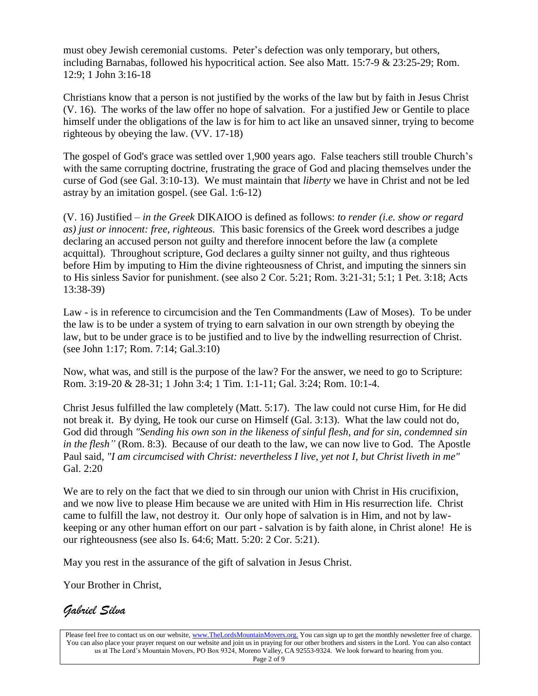must obey Jewish ceremonial customs. Peter's defection was only temporary, but others, including Barnabas, followed his hypocritical action. See also Matt. 15:7-9 & 23:25-29; Rom. 12:9; 1 John 3:16-18

Christians know that a person is not justified by the works of the law but by faith in Jesus Christ (V. 16). The works of the law offer no hope of salvation. For a justified Jew or Gentile to place himself under the obligations of the law is for him to act like an unsaved sinner, trying to become righteous by obeying the law. (VV. 17-18)

The gospel of God's grace was settled over 1,900 years ago. False teachers still trouble Church's with the same corrupting doctrine, frustrating the grace of God and placing themselves under the curse of God (see Gal. 3:10-13). We must maintain that *liberty* we have in Christ and not be led astray by an imitation gospel. (see Gal. 1:6-12)

(V. 16) Justified – *in the Greek* DIKAIOO is defined as follows: *to render (i.e. show or regard as) just or innocent: free, righteous.* This basic forensics of the Greek word describes a judge declaring an accused person not guilty and therefore innocent before the law (a complete acquittal). Throughout scripture, God declares a guilty sinner not guilty, and thus righteous before Him by imputing to Him the divine righteousness of Christ, and imputing the sinners sin to His sinless Savior for punishment. (see also 2 Cor. 5:21; Rom. 3:21-31; 5:1; 1 Pet. 3:18; Acts 13:38-39)

Law - is in reference to circumcision and the Ten Commandments (Law of Moses). To be under the law is to be under a system of trying to earn salvation in our own strength by obeying the law, but to be under grace is to be justified and to live by the indwelling resurrection of Christ. (see John 1:17; Rom. 7:14; Gal.3:10)

Now, what was, and still is the purpose of the law? For the answer, we need to go to Scripture: Rom. 3:19-20 & 28-31; 1 John 3:4; 1 Tim. 1:1-11; Gal. 3:24; Rom. 10:1-4.

Christ Jesus fulfilled the law completely (Matt. 5:17). The law could not curse Him, for He did not break it. By dying, He took our curse on Himself (Gal. 3:13). What the law could not do, God did through *"Sending his own son in the likeness of sinful flesh, and for sin, condemned sin in the flesh"* (Rom. 8:3). Because of our death to the law, we can now live to God. The Apostle Paul said, *"I am circumcised with Christ: nevertheless I live, yet not I, but Christ liveth in me"* Gal. 2:20

We are to rely on the fact that we died to sin through our union with Christ in His crucifixion, and we now live to please Him because we are united with Him in His resurrection life. Christ came to fulfill the law, not destroy it. Our only hope of salvation is in Him, and not by lawkeeping or any other human effort on our part - salvation is by faith alone, in Christ alone! He is our righteousness (see also Is. 64:6; Matt. 5:20: 2 Cor. 5:21).

May you rest in the assurance of the gift of salvation in Jesus Christ.

Your Brother in Christ,

### *Gabriel Silva*

Please feel free to contact us on our website, ww[w.TheLordsMountainMovers.o](http://www.thelordsmountainmovers.org/)rg. You can sign up to get the monthly newsletter free of charge. You can also place your prayer request on our website and join us in praying for our other brothers and sisters in the Lord. You can also contact us at The Lord's Mountain Movers, PO Box 9324, Moreno Valley, CA 92553-9324. We look forward to hearing from you. Page 2 of 9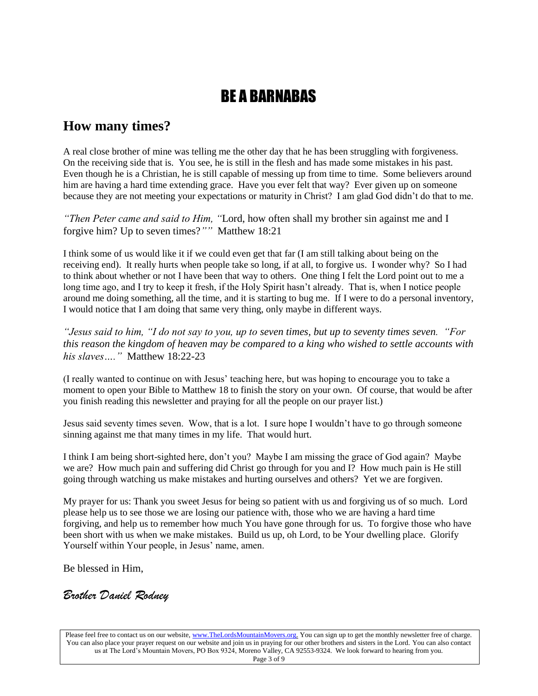## BE A BARNABAS

### **How many times?**

A real close brother of mine was telling me the other day that he has been struggling with forgiveness. On the receiving side that is. You see, he is still in the flesh and has made some mistakes in his past. Even though he is a Christian, he is still capable of messing up from time to time. Some believers around him are having a hard time extending grace. Have you ever felt that way? Ever given up on someone because they are not meeting your expectations or maturity in Christ? I am glad God didn't do that to me.

*"Then Peter came and said to Him, "*Lord, how often shall my brother sin against me and I forgive him? Up to seven times?*""* Matthew 18:21

I think some of us would like it if we could even get that far (I am still talking about being on the receiving end). It really hurts when people take so long, if at all, to forgive us. I wonder why? So I had to think about whether or not I have been that way to others. One thing I felt the Lord point out to me a long time ago, and I try to keep it fresh, if the Holy Spirit hasn't already. That is, when I notice people around me doing something, all the time, and it is starting to bug me. If I were to do a personal inventory, I would notice that I am doing that same very thing, only maybe in different ways.

*"Jesus said to him, "I do not say to you, up to seven times, but up to seventy times seven. "For this reason the kingdom of heaven may be compared to a king who wished to settle accounts with his slaves…."* Matthew 18:22-23

(I really wanted to continue on with Jesus' teaching here, but was hoping to encourage you to take a moment to open your Bible to Matthew 18 to finish the story on your own. Of course, that would be after you finish reading this newsletter and praying for all the people on our prayer list.)

Jesus said seventy times seven. Wow, that is a lot. I sure hope I wouldn't have to go through someone sinning against me that many times in my life. That would hurt.

I think I am being short-sighted here, don't you? Maybe I am missing the grace of God again? Maybe we are? How much pain and suffering did Christ go through for you and I? How much pain is He still going through watching us make mistakes and hurting ourselves and others? Yet we are forgiven.

My prayer for us: Thank you sweet Jesus for being so patient with us and forgiving us of so much. Lord please help us to see those we are losing our patience with, those who we are having a hard time forgiving, and help us to remember how much You have gone through for us. To forgive those who have been short with us when we make mistakes. Build us up, oh Lord, to be Your dwelling place. Glorify Yourself within Your people, in Jesus' name, amen.

Be blessed in Him,

#### *Brother Daniel Rodney*

Please feel free to contact us on our website, ww[w.TheLordsMountainMovers.o](http://www.thelordsmountainmovers.org/)rg. You can sign up to get the monthly newsletter free of charge. You can also place your prayer request on our website and join us in praying for our other brothers and sisters in the Lord. You can also contact us at The Lord's Mountain Movers, PO Box 9324, Moreno Valley, CA 92553-9324. We look forward to hearing from you. Page 3 of 9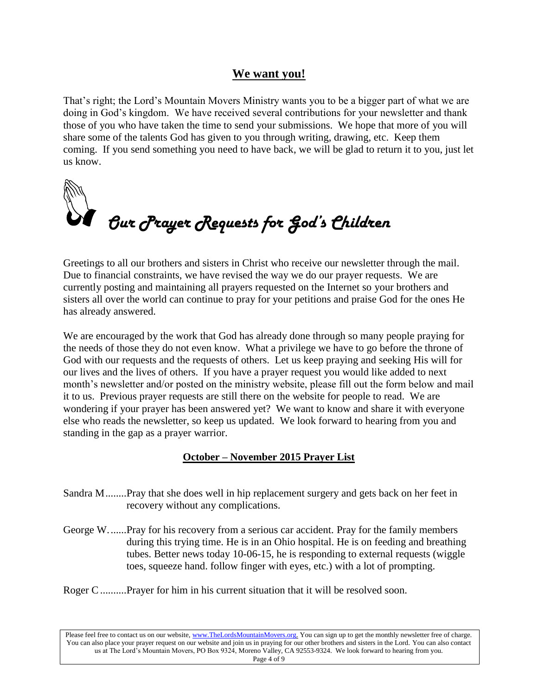#### **We want you!**

That's right; the Lord's Mountain Movers Ministry wants you to be a bigger part of what we are doing in God's kingdom. We have received several contributions for your newsletter and thank those of you who have taken the time to send your submissions. We hope that more of you will share some of the talents God has given to you through writing, drawing, etc. Keep them coming. If you send something you need to have back, we will be glad to return it to you, just let us know.



Greetings to all our brothers and sisters in Christ who receive our newsletter through the mail. Due to financial constraints, we have revised the way we do our prayer requests. We are currently posting and maintaining all prayers requested on the Internet so your brothers and sisters all over the world can continue to pray for your petitions and praise God for the ones He has already answered.

We are encouraged by the work that God has already done through so many people praying for the needs of those they do not even know. What a privilege we have to go before the throne of God with our requests and the requests of others. Let us keep praying and seeking His will for our lives and the lives of others. If you have a prayer request you would like added to next month's newsletter and/or posted on the ministry website, please fill out the form below and mail it to us. Previous prayer requests are still there on the website for people to read. We are wondering if your prayer has been answered yet? We want to know and share it with everyone else who reads the newsletter, so keep us updated. We look forward to hearing from you and standing in the gap as a prayer warrior.

#### **October – November 2015 Prayer List**

- Sandra M........Pray that she does well in hip replacement surgery and gets back on her feet in recovery without any complications.
- George W.......Pray for his recovery from a serious car accident. Pray for the family members during this trying time. He is in an Ohio hospital. He is on feeding and breathing tubes. Better news today 10-06-15, he is responding to external requests (wiggle toes, squeeze hand. follow finger with eyes, etc.) with a lot of prompting.
- Roger C..........Prayer for him in his current situation that it will be resolved soon.

Please feel free to contact us on our website, ww[w.TheLordsMountainMovers.o](http://www.thelordsmountainmovers.org/)rg. You can sign up to get the monthly newsletter free of charge. You can also place your prayer request on our website and join us in praying for our other brothers and sisters in the Lord. You can also contact us at The Lord's Mountain Movers, PO Box 9324, Moreno Valley, CA 92553-9324. We look forward to hearing from you. Page 4 of 9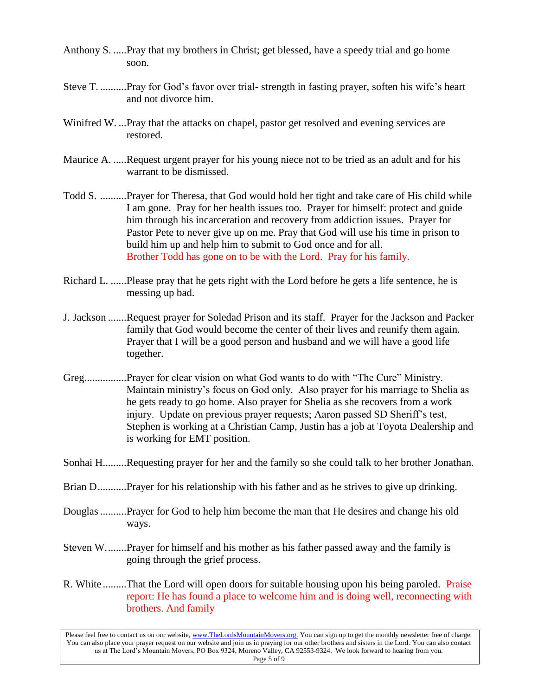- Anthony S. .....Pray that my brothers in Christ; get blessed, have a speedy trial and go home soon.
- Steve T. ..........Pray for God's favor over trial- strength in fasting prayer, soften his wife's heart and not divorce him.
- Winifred W. ...Pray that the attacks on chapel, pastor get resolved and evening services are restored.
- Maurice A. .....Request urgent prayer for his young niece not to be tried as an adult and for his warrant to be dismissed.
- Todd S. ..........Prayer for Theresa, that God would hold her tight and take care of His child while I am gone. Pray for her health issues too. Prayer for himself: protect and guide him through his incarceration and recovery from addiction issues. Prayer for Pastor Pete to never give up on me. Pray that God will use his time in prison to build him up and help him to submit to God once and for all. Brother Todd has gone on to be with the Lord. Pray for his family.
- Richard L. ......Please pray that he gets right with the Lord before he gets a life sentence, he is messing up bad.
- J. Jackson .......Request prayer for Soledad Prison and its staff. Prayer for the Jackson and Packer family that God would become the center of their lives and reunify them again. Prayer that I will be a good person and husband and we will have a good life together.
- Greg................Prayer for clear vision on what God wants to do with "The Cure" Ministry. Maintain ministry's focus on God only. Also prayer for his marriage to Shelia as he gets ready to go home. Also prayer for Shelia as she recovers from a work injury. Update on previous prayer requests; Aaron passed SD Sheriff's test, Stephen is working at a Christian Camp, Justin has a job at Toyota Dealership and is working for EMT position.
- Sonhai H.........Requesting prayer for her and the family so she could talk to her brother Jonathan.
- Brian D............Prayer for his relationship with his father and as he strives to give up drinking.
- Douglas..........Prayer for God to help him become the man that He desires and change his old ways.
- Steven W........Prayer for himself and his mother as his father passed away and the family is going through the grief process.
- R. White .........That the Lord will open doors for suitable housing upon his being paroled. Praise report: He has found a place to welcome him and is doing well, reconnecting with brothers. And family

Please feel free to contact us on our website, ww[w.TheLordsMountainMovers.o](http://www.thelordsmountainmovers.org/)rg. You can sign up to get the monthly newsletter free of charge. You can also place your prayer request on our website and join us in praying for our other brothers and sisters in the Lord. You can also contact us at The Lord's Mountain Movers, PO Box 9324, Moreno Valley, CA 92553-9324. We look forward to hearing from you. Page 5 of 9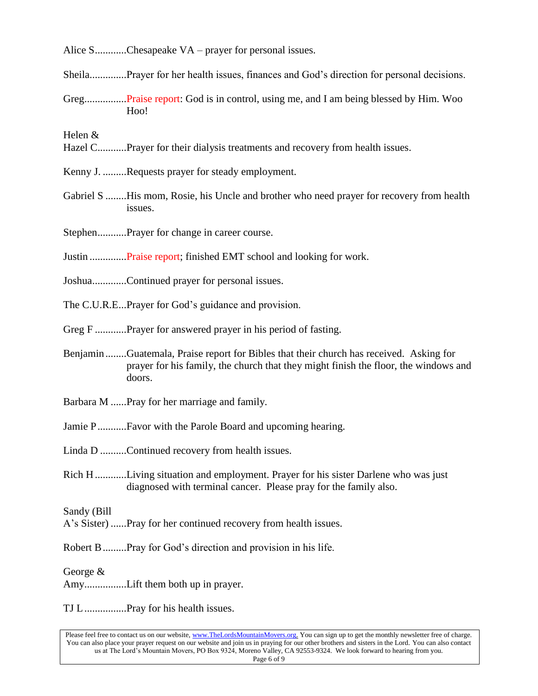Alice S...........Chesapeake VA – prayer for personal issues.

Sheila..............Prayer for her health issues, finances and God's direction for personal decisions.

Greg................Praise report: God is in control, using me, and I am being blessed by Him. Woo Hoo!

Helen &

- Hazel C...........Prayer for their dialysis treatments and recovery from health issues.
- Kenny J. .........Requests prayer for steady employment.
- Gabriel S ........His mom, Rosie, his Uncle and brother who need prayer for recovery from health issues.

Stephen...........Prayer for change in career course.

Justin ..............Praise report; finished EMT school and looking for work.

- Joshua.............Continued prayer for personal issues.
- The C.U.R.E...Prayer for God's guidance and provision.
- Greg F .............Prayer for answered prayer in his period of fasting.
- Benjamin........Guatemala, Praise report for Bibles that their church has received. Asking for prayer for his family, the church that they might finish the floor, the windows and doors.
- Barbara M ......Pray for her marriage and family.
- Jamie P...........Favor with the Parole Board and upcoming hearing.

Linda D ..........Continued recovery from health issues.

Rich H.............Living situation and employment. Prayer for his sister Darlene who was just diagnosed with terminal cancer. Please pray for the family also.

Sandy (Bill

- A's Sister) ......Pray for her continued recovery from health issues.
- Robert B.........Pray for God's direction and provision in his life.

George &

Amy................Lift them both up in prayer.

TJ L................Pray for his health issues.

Please feel free to contact us on our website, ww[w.TheLordsMountainMovers.o](http://www.thelordsmountainmovers.org/)rg. You can sign up to get the monthly newsletter free of charge. You can also place your prayer request on our website and join us in praying for our other brothers and sisters in the Lord. You can also contact us at The Lord's Mountain Movers, PO Box 9324, Moreno Valley, CA 92553-9324. We look forward to hearing from you. Page 6 of 9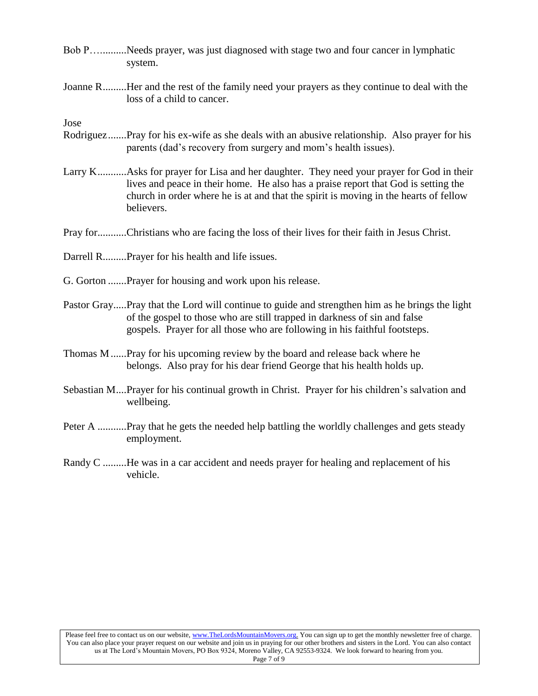- Bob P…..........Needs prayer, was just diagnosed with stage two and four cancer in lymphatic system.
- Joanne R.........Her and the rest of the family need your prayers as they continue to deal with the loss of a child to cancer.

Jose

- Rodriguez.......Pray for his ex-wife as she deals with an abusive relationship. Also prayer for his parents (dad's recovery from surgery and mom's health issues).
- Larry K...........Asks for prayer for Lisa and her daughter. They need your prayer for God in their lives and peace in their home. He also has a praise report that God is setting the church in order where he is at and that the spirit is moving in the hearts of fellow believers.
- Pray for...........Christians who are facing the loss of their lives for their faith in Jesus Christ.
- Darrell R.........Prayer for his health and life issues.
- G. Gorton .......Prayer for housing and work upon his release.
- Pastor Gray.....Pray that the Lord will continue to guide and strengthen him as he brings the light of the gospel to those who are still trapped in darkness of sin and false gospels. Prayer for all those who are following in his faithful footsteps.
- Thomas M......Pray for his upcoming review by the board and release back where he belongs. Also pray for his dear friend George that his health holds up.
- Sebastian M....Prayer for his continual growth in Christ. Prayer for his children's salvation and wellbeing.
- Peter A ...........Pray that he gets the needed help battling the worldly challenges and gets steady employment.
- Randy C .........He was in a car accident and needs prayer for healing and replacement of his vehicle.

Please feel free to contact us on our website, ww[w.TheLordsMountainMovers.o](http://www.thelordsmountainmovers.org/)rg. You can sign up to get the monthly newsletter free of charge. You can also place your prayer request on our website and join us in praying for our other brothers and sisters in the Lord. You can also contact us at The Lord's Mountain Movers, PO Box 9324, Moreno Valley, CA 92553-9324. We look forward to hearing from you.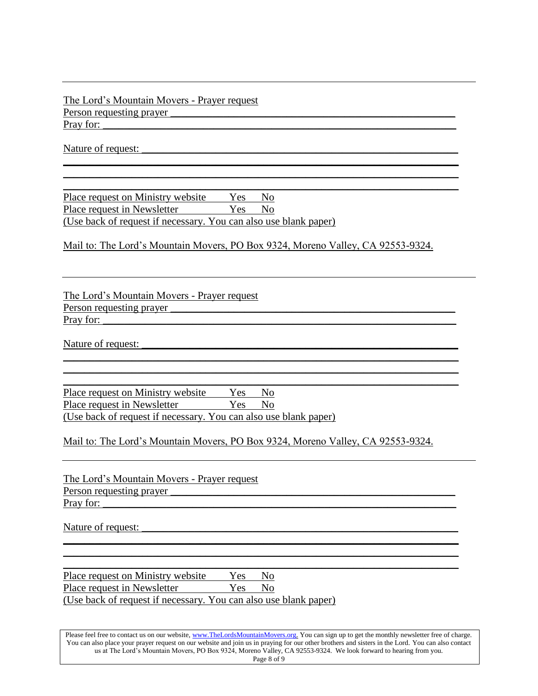#### The Lord's Mountain Movers - Prayer request Person requesting prayer Pray for:

Nature of request: \_\_\_\_\_\_\_\_\_\_\_\_\_\_\_\_\_\_\_\_\_\_\_\_\_\_\_\_\_\_\_\_\_\_\_\_\_\_\_\_\_\_\_\_\_\_\_\_\_\_\_\_\_\_\_\_\_\_\_\_

Place request on Ministry website Yes No Place request in Newsletter Yes No (Use back of request if necessary. You can also use blank paper)

Mail to: The Lord's Mountain Movers, PO Box 9324, Moreno Valley, CA 92553-9324.

\_\_\_\_\_\_\_\_\_\_\_\_\_\_\_\_\_\_\_\_\_\_\_\_\_\_\_\_\_\_\_\_\_\_\_\_\_\_\_\_\_\_\_\_\_\_\_\_\_\_\_\_\_\_\_\_\_\_\_\_\_\_\_\_\_\_\_\_\_\_\_\_\_\_\_ \_\_\_\_\_\_\_\_\_\_\_\_\_\_\_\_\_\_\_\_\_\_\_\_\_\_\_\_\_\_\_\_\_\_\_\_\_\_\_\_\_\_\_\_\_\_\_\_\_\_\_\_\_\_\_\_\_\_\_\_\_\_\_\_\_\_\_\_\_\_\_\_\_\_\_ \_\_\_\_\_\_\_\_\_\_\_\_\_\_\_\_\_\_\_\_\_\_\_\_\_\_\_\_\_\_\_\_\_\_\_\_\_\_\_\_\_\_\_\_\_\_\_\_\_\_\_\_\_\_\_\_\_\_\_\_\_\_\_\_\_\_\_\_\_\_\_\_\_\_\_

The Lord's Mountain Movers - Prayer request Person requesting prayer Pray for:

Nature of request:

\_\_\_\_\_\_\_\_\_\_\_\_\_\_\_\_\_\_\_\_\_\_\_\_\_\_\_\_\_\_\_\_\_\_\_\_\_\_\_\_\_\_\_\_\_\_\_\_\_\_\_\_\_\_\_\_\_\_\_\_\_\_\_\_\_\_\_\_\_\_\_\_\_\_\_ Place request on Ministry website Yes No Place request in Newsletter Yes No (Use back of request if necessary. You can also use blank paper)

Mail to: The Lord's Mountain Movers, PO Box 9324, Moreno Valley, CA 92553-9324.

\_\_\_\_\_\_\_\_\_\_\_\_\_\_\_\_\_\_\_\_\_\_\_\_\_\_\_\_\_\_\_\_\_\_\_\_\_\_\_\_\_\_\_\_\_\_\_\_\_\_\_\_\_\_\_\_\_\_\_\_\_\_\_\_\_\_\_\_\_\_\_\_\_\_\_ \_\_\_\_\_\_\_\_\_\_\_\_\_\_\_\_\_\_\_\_\_\_\_\_\_\_\_\_\_\_\_\_\_\_\_\_\_\_\_\_\_\_\_\_\_\_\_\_\_\_\_\_\_\_\_\_\_\_\_\_\_\_\_\_\_\_\_\_\_\_\_\_\_\_\_

The Lord's Mountain Movers - Prayer request Person requesting prayer Pray for:

Nature of request:

Place request on Ministry website Yes No Place request in Newsletter Yes No

(Use back of request if necessary. You can also use blank paper)

Please feel free to contact us on our website, ww[w.TheLordsMountainMovers.o](http://www.thelordsmountainmovers.org/)rg. You can sign up to get the monthly newsletter free of charge. You can also place your prayer request on our website and join us in praying for our other brothers and sisters in the Lord. You can also contact us at The Lord's Mountain Movers, PO Box 9324, Moreno Valley, CA 92553-9324. We look forward to hearing from you. Page 8 of 9

\_\_\_\_\_\_\_\_\_\_\_\_\_\_\_\_\_\_\_\_\_\_\_\_\_\_\_\_\_\_\_\_\_\_\_\_\_\_\_\_\_\_\_\_\_\_\_\_\_\_\_\_\_\_\_\_\_\_\_\_\_\_\_\_\_\_\_\_\_\_\_\_\_\_\_ \_\_\_\_\_\_\_\_\_\_\_\_\_\_\_\_\_\_\_\_\_\_\_\_\_\_\_\_\_\_\_\_\_\_\_\_\_\_\_\_\_\_\_\_\_\_\_\_\_\_\_\_\_\_\_\_\_\_\_\_\_\_\_\_\_\_\_\_\_\_\_\_\_\_\_ \_\_\_\_\_\_\_\_\_\_\_\_\_\_\_\_\_\_\_\_\_\_\_\_\_\_\_\_\_\_\_\_\_\_\_\_\_\_\_\_\_\_\_\_\_\_\_\_\_\_\_\_\_\_\_\_\_\_\_\_\_\_\_\_\_\_\_\_\_\_\_\_\_\_\_